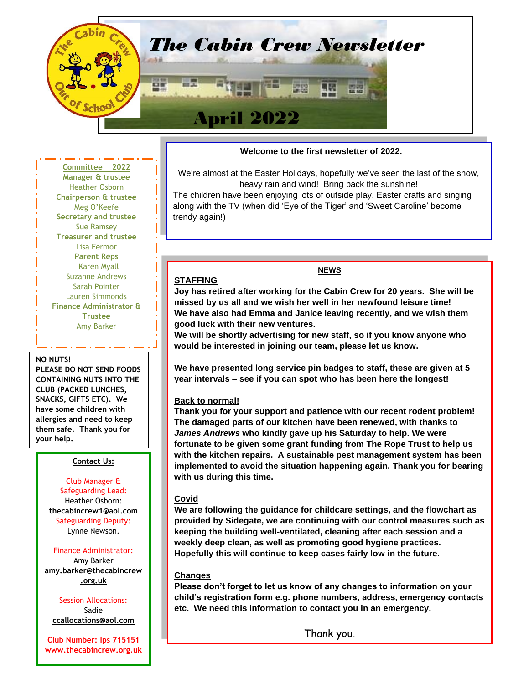

#### **Committee 2022 Manager & trustee** Heather Osborn **Chairperson & trustee** Meg O'Keefe **Secretary and trustee** Sue Ramsey **Treasurer and trustee** Lisa Fermor **Parent Reps** Karen Myall Suzanne Andrews Sarah Pointer Lauren Simmonds **Finance Administrator & Trustee** Amy Barker

#### **NO NUTS!**

**PLEASE DO NOT SEND FOODS CONTAINING NUTS INTO THE CLUB (PACKED LUNCHES, SNACKS, GIFTS ETC). We have some children with allergies and need to keep them safe. Thank you for your help.**

## **Contact Us:**

Club Manager & Safeguarding Lead: Heather Osborn: **[thecabincrew1@aol.com](mailto:thecabincrew1@aol.com)** Safeguarding Deputy: Lynne Newson.

### Finance Administrator:

Amy Barker **[amy.barker@thecabincrew](mailto:thecabincrewoosc@aol.com) [.org.uk](mailto:thecabincrewoosc@aol.com)**

Session Allocations: Sadie **ccallocations[@aol.](mailto:ccallocations@aol.com)com**

**Club Number: Ips 715151 www.thecabincrew.org.uk**

#### **Welcome to the first newsletter of 2022.**

We're almost at the Easter Holidays, hopefully we've seen the last of the snow, heavy rain and wind! Bring back the sunshine!

The children have been enjoying lots of outside play, Easter crafts and singing along with the TV (when did 'Eye of the Tiger' and 'Sweet Caroline' become trendy again!)

**Joy has retired after working for the Cabin Crew for 20 years. She will be missed by us all and we wish her well in her newfound leisure time! We have also had Emma and Janice leaving recently, and we wish them good luck with their new ventures.**

**NEWS**

**We will be shortly advertising for new staff, so if you know anyone who would be interested in joining our team, please let us know.**

**We have presented long service pin badges to staff, these are given at 5 year intervals – see if you can spot who has been here the longest!**

#### **Back to normal!**

**STAFFING**

**Thank you for your support and patience with our recent rodent problem! The damaged parts of our kitchen have been renewed, with thanks to** *James Andrews* **who kindly gave up his Saturday to help. We were fortunate to be given some grant funding from The Rope Trust to help us with the kitchen repairs. A sustainable pest management system has been implemented to avoid the situation happening again. Thank you for bearing with us during this time.**

#### **Covid**

**We are following the guidance for childcare settings, and the flowchart as provided by Sidegate, we are continuing with our control measures such as keeping the building well-ventilated, cleaning after each session and a weekly deep clean, as well as promoting good hygiene practices. Hopefully this will continue to keep cases fairly low in the future.**

#### **Changes**

**Please don't forget to let us know of any changes to information on your child's registration form e.g. phone numbers, address, emergency contacts etc. We need this information to contact you in an emergency.**

Thank you.